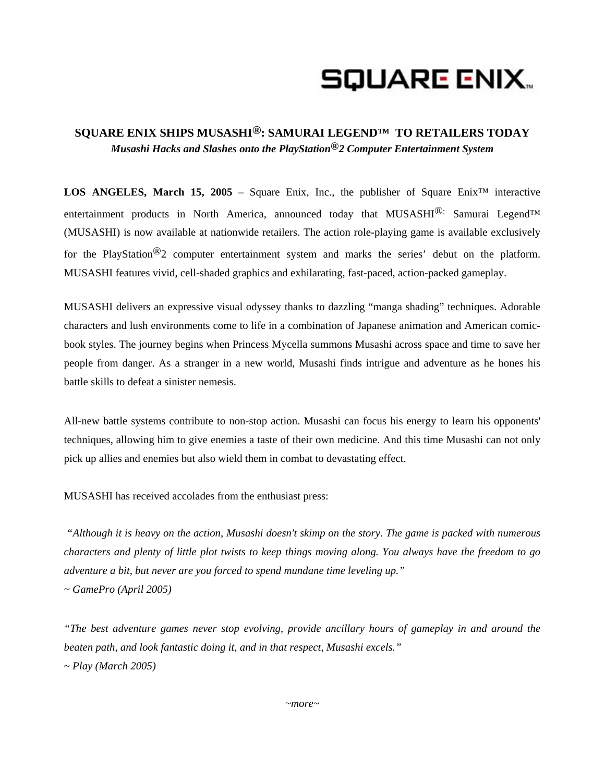## SQUARE ENIX..

## **SQUARE ENIX SHIPS MUSASHI®: SAMURAI LEGEND™ TO RETAILERS TODAY**  *Musashi Hacks and Slashes onto the PlayStation®2 Computer Entertainment System*

**LOS ANGELES, March 15, 2005** – Square Enix, Inc., the publisher of Square Enix<sup>™</sup> interactive entertainment products in North America, announced today that MUSASHI<sup>®:</sup> Samurai Legend™ (MUSASHI) is now available at nationwide retailers. The action role-playing game is available exclusively for the PlayStation<sup>®</sup>2 computer entertainment system and marks the series' debut on the platform. MUSASHI features vivid, cell-shaded graphics and exhilarating, fast-paced, action-packed gameplay.

MUSASHI delivers an expressive visual odyssey thanks to dazzling "manga shading" techniques. Adorable characters and lush environments come to life in a combination of Japanese animation and American comicbook styles. The journey begins when Princess Mycella summons Musashi across space and time to save her people from danger. As a stranger in a new world, Musashi finds intrigue and adventure as he hones his battle skills to defeat a sinister nemesis.

All-new battle systems contribute to non-stop action. Musashi can focus his energy to learn his opponents' techniques, allowing him to give enemies a taste of their own medicine. And this time Musashi can not only pick up allies and enemies but also wield them in combat to devastating effect.

MUSASHI has received accolades from the enthusiast press:

*"Although it is heavy on the action, Musashi doesn't skimp on the story. The game is packed with numerous characters and plenty of little plot twists to keep things moving along. You always have the freedom to go adventure a bit, but never are you forced to spend mundane time leveling up." ~ GamePro (April 2005)* 

*"The best adventure games never stop evolving, provide ancillary hours of gameplay in and around the beaten path, and look fantastic doing it, and in that respect, Musashi excels." ~ Play (March 2005)*